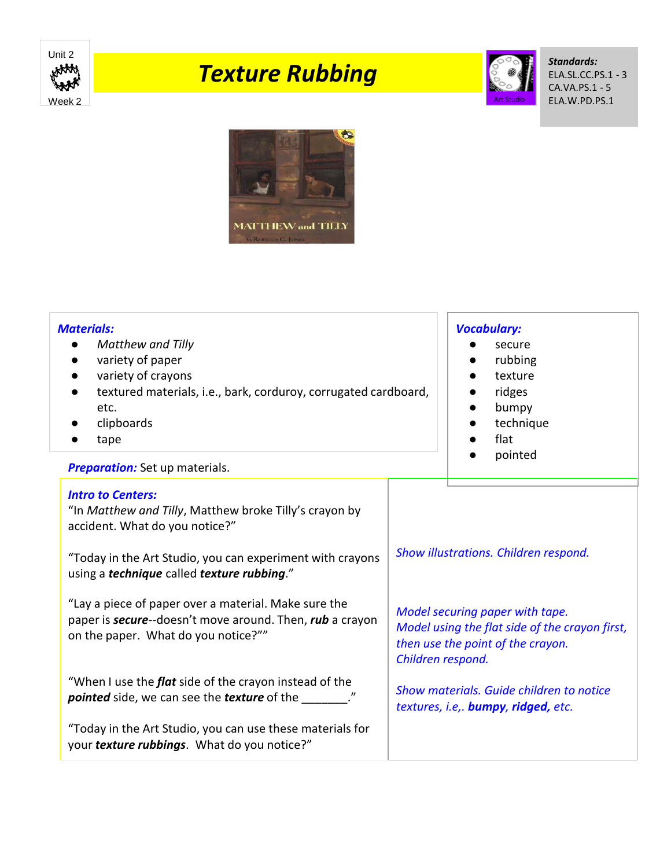

## *Texture Rubbing*



*Standards:* ELA.SL.CC.PS.1 - 3 CA.VA.PS.1 - 5 ELA.W.PD.PS.1



| <b>Materials:</b><br><b>Matthew and Tilly</b><br>variety of paper<br>variety of crayons<br>textured materials, i.e., bark, corduroy, corrugated cardboard,<br>etc.<br>clipboards<br>tape<br><b>Preparation:</b> Set up materials.                                                                                                                                                          |                                                                                                                                                                                                                                                                         | <b>Vocabulary:</b><br>secure<br>rubbing<br>texture<br>ridges<br>bumpy<br>technique<br>flat<br>pointed |
|--------------------------------------------------------------------------------------------------------------------------------------------------------------------------------------------------------------------------------------------------------------------------------------------------------------------------------------------------------------------------------------------|-------------------------------------------------------------------------------------------------------------------------------------------------------------------------------------------------------------------------------------------------------------------------|-------------------------------------------------------------------------------------------------------|
| <b>Intro to Centers:</b><br>"In Matthew and Tilly, Matthew broke Tilly's crayon by<br>accident. What do you notice?"<br>"Today in the Art Studio, you can experiment with crayons<br>using a technique called texture rubbing."<br>"Lay a piece of paper over a material. Make sure the<br>paper is secure--doesn't move around. Then, rub a crayon<br>on the paper. What do you notice?"" | Show illustrations. Children respond.<br>Model securing paper with tape.<br>Model using the flat side of the crayon first,<br>then use the point of the crayon.<br>Children respond.<br>Show materials. Guide children to notice<br>textures, i.e,. bumpy, ridged, etc. |                                                                                                       |
| "When I use the <i>flat</i> side of the crayon instead of the<br><i>pointed</i> side, we can see the <i>texture</i> of the _______."<br>"Today in the Art Studio, you can use these materials for<br>your texture rubbings. What do you notice?"                                                                                                                                           |                                                                                                                                                                                                                                                                         |                                                                                                       |